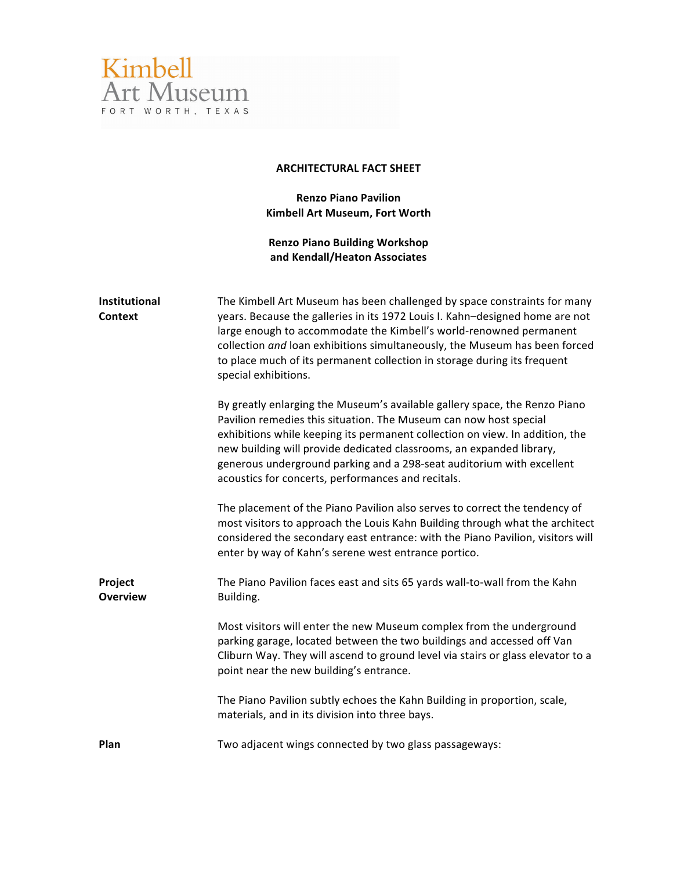

## **ARCHITECTURAL FACT SHEET**

**Renzo Piano Pavilion Kimbell Art Museum, Fort Worth** 

**Renzo Piano Building Workshop and Kendall/Heaton Associates**

| Institutional<br>Context   | The Kimbell Art Museum has been challenged by space constraints for many<br>years. Because the galleries in its 1972 Louis I. Kahn-designed home are not<br>large enough to accommodate the Kimbell's world-renowned permanent<br>collection and loan exhibitions simultaneously, the Museum has been forced<br>to place much of its permanent collection in storage during its frequent<br>special exhibitions.                       |
|----------------------------|----------------------------------------------------------------------------------------------------------------------------------------------------------------------------------------------------------------------------------------------------------------------------------------------------------------------------------------------------------------------------------------------------------------------------------------|
|                            | By greatly enlarging the Museum's available gallery space, the Renzo Piano<br>Pavilion remedies this situation. The Museum can now host special<br>exhibitions while keeping its permanent collection on view. In addition, the<br>new building will provide dedicated classrooms, an expanded library,<br>generous underground parking and a 298-seat auditorium with excellent<br>acoustics for concerts, performances and recitals. |
|                            | The placement of the Piano Pavilion also serves to correct the tendency of<br>most visitors to approach the Louis Kahn Building through what the architect<br>considered the secondary east entrance: with the Piano Pavilion, visitors will<br>enter by way of Kahn's serene west entrance portico.                                                                                                                                   |
| Project<br><b>Overview</b> | The Piano Pavilion faces east and sits 65 yards wall-to-wall from the Kahn<br>Building.                                                                                                                                                                                                                                                                                                                                                |
|                            | Most visitors will enter the new Museum complex from the underground<br>parking garage, located between the two buildings and accessed off Van<br>Cliburn Way. They will ascend to ground level via stairs or glass elevator to a<br>point near the new building's entrance.                                                                                                                                                           |
|                            | The Piano Pavilion subtly echoes the Kahn Building in proportion, scale,<br>materials, and in its division into three bays.                                                                                                                                                                                                                                                                                                            |
| Plan                       | Two adjacent wings connected by two glass passageways:                                                                                                                                                                                                                                                                                                                                                                                 |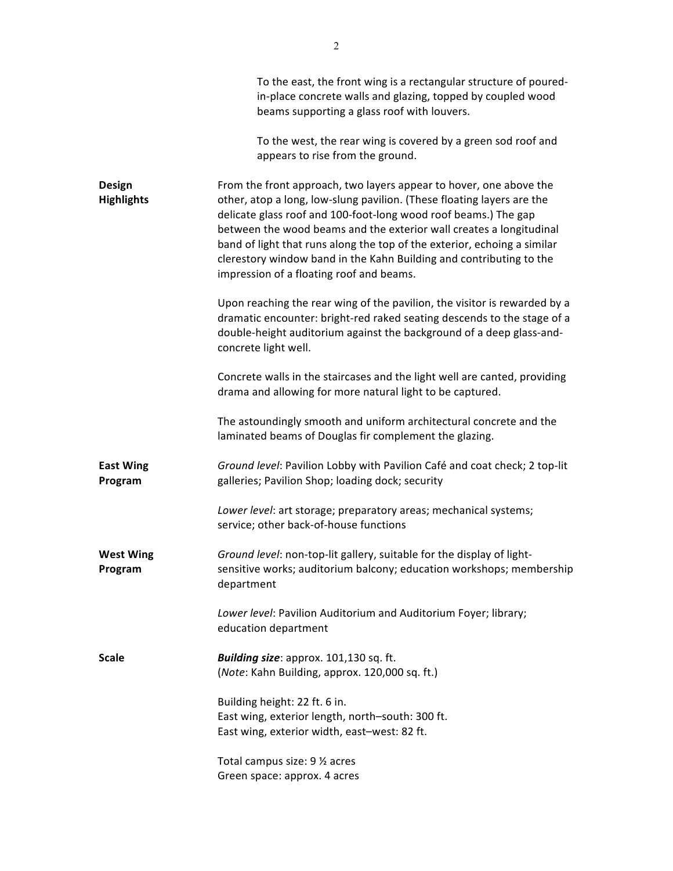|                                    | To the east, the front wing is a rectangular structure of poured-<br>in-place concrete walls and glazing, topped by coupled wood<br>beams supporting a glass roof with louvers.                                                                                                                                                                                                                                                                                                       |
|------------------------------------|---------------------------------------------------------------------------------------------------------------------------------------------------------------------------------------------------------------------------------------------------------------------------------------------------------------------------------------------------------------------------------------------------------------------------------------------------------------------------------------|
|                                    | To the west, the rear wing is covered by a green sod roof and<br>appears to rise from the ground.                                                                                                                                                                                                                                                                                                                                                                                     |
| <b>Design</b><br><b>Highlights</b> | From the front approach, two layers appear to hover, one above the<br>other, atop a long, low-slung pavilion. (These floating layers are the<br>delicate glass roof and 100-foot-long wood roof beams.) The gap<br>between the wood beams and the exterior wall creates a longitudinal<br>band of light that runs along the top of the exterior, echoing a similar<br>clerestory window band in the Kahn Building and contributing to the<br>impression of a floating roof and beams. |
|                                    | Upon reaching the rear wing of the pavilion, the visitor is rewarded by a<br>dramatic encounter: bright-red raked seating descends to the stage of a<br>double-height auditorium against the background of a deep glass-and-<br>concrete light well.                                                                                                                                                                                                                                  |
|                                    | Concrete walls in the staircases and the light well are canted, providing<br>drama and allowing for more natural light to be captured.                                                                                                                                                                                                                                                                                                                                                |
|                                    | The astoundingly smooth and uniform architectural concrete and the<br>laminated beams of Douglas fir complement the glazing.                                                                                                                                                                                                                                                                                                                                                          |
| <b>East Wing</b><br>Program        | Ground level: Pavilion Lobby with Pavilion Café and coat check; 2 top-lit<br>galleries; Pavilion Shop; loading dock; security                                                                                                                                                                                                                                                                                                                                                         |
|                                    | Lower level: art storage; preparatory areas; mechanical systems;<br>service; other back-of-house functions                                                                                                                                                                                                                                                                                                                                                                            |
| <b>West Wing</b><br>Program        | Ground level: non-top-lit gallery, suitable for the display of light-<br>sensitive works; auditorium balcony; education workshops; membership<br>department                                                                                                                                                                                                                                                                                                                           |
|                                    | Lower level: Pavilion Auditorium and Auditorium Foyer; library;<br>education department                                                                                                                                                                                                                                                                                                                                                                                               |
| <b>Scale</b>                       | Building size: approx. 101,130 sq. ft.<br>(Note: Kahn Building, approx. 120,000 sq. ft.)                                                                                                                                                                                                                                                                                                                                                                                              |
|                                    | Building height: 22 ft. 6 in.<br>East wing, exterior length, north-south: 300 ft.<br>East wing, exterior width, east-west: 82 ft.                                                                                                                                                                                                                                                                                                                                                     |
|                                    | Total campus size: 9 1/2 acres<br>Green space: approx. 4 acres                                                                                                                                                                                                                                                                                                                                                                                                                        |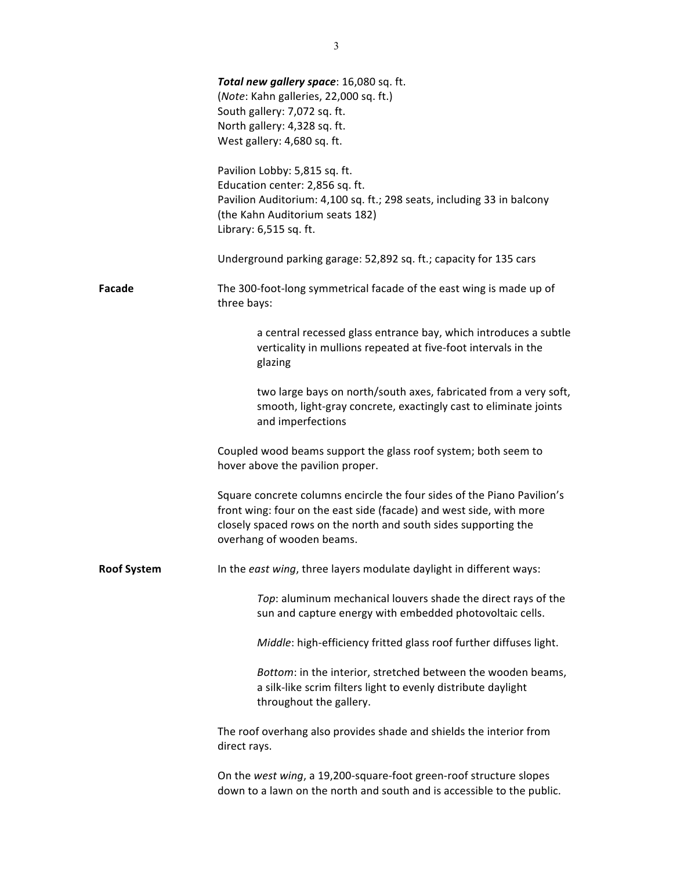|                    | Total new gallery space: 16,080 sq. ft.<br>(Note: Kahn galleries, 22,000 sq. ft.)<br>South gallery: 7,072 sq. ft.<br>North gallery: 4,328 sq. ft.<br>West gallery: 4,680 sq. ft.                                                               |
|--------------------|------------------------------------------------------------------------------------------------------------------------------------------------------------------------------------------------------------------------------------------------|
|                    | Pavilion Lobby: 5,815 sq. ft.<br>Education center: 2,856 sq. ft.<br>Pavilion Auditorium: 4,100 sq. ft.; 298 seats, including 33 in balcony<br>(the Kahn Auditorium seats 182)<br>Library: 6,515 sq. ft.                                        |
|                    | Underground parking garage: 52,892 sq. ft.; capacity for 135 cars                                                                                                                                                                              |
| Facade             | The 300-foot-long symmetrical facade of the east wing is made up of<br>three bays:                                                                                                                                                             |
|                    | a central recessed glass entrance bay, which introduces a subtle<br>verticality in mullions repeated at five-foot intervals in the<br>glazing                                                                                                  |
|                    | two large bays on north/south axes, fabricated from a very soft,<br>smooth, light-gray concrete, exactingly cast to eliminate joints<br>and imperfections                                                                                      |
|                    | Coupled wood beams support the glass roof system; both seem to<br>hover above the pavilion proper.                                                                                                                                             |
|                    | Square concrete columns encircle the four sides of the Piano Pavilion's<br>front wing: four on the east side (facade) and west side, with more<br>closely spaced rows on the north and south sides supporting the<br>overhang of wooden beams. |
| <b>Roof System</b> | In the east wing, three layers modulate daylight in different ways:                                                                                                                                                                            |
|                    | Top: aluminum mechanical louvers shade the direct rays of the<br>sun and capture energy with embedded photovoltaic cells.                                                                                                                      |
|                    | Middle: high-efficiency fritted glass roof further diffuses light.                                                                                                                                                                             |
|                    | Bottom: in the interior, stretched between the wooden beams,<br>a silk-like scrim filters light to evenly distribute daylight<br>throughout the gallery.                                                                                       |
|                    | The roof overhang also provides shade and shields the interior from<br>direct rays.                                                                                                                                                            |
|                    | On the west wing, a 19,200-square-foot green-roof structure slopes<br>down to a lawn on the north and south and is accessible to the public.                                                                                                   |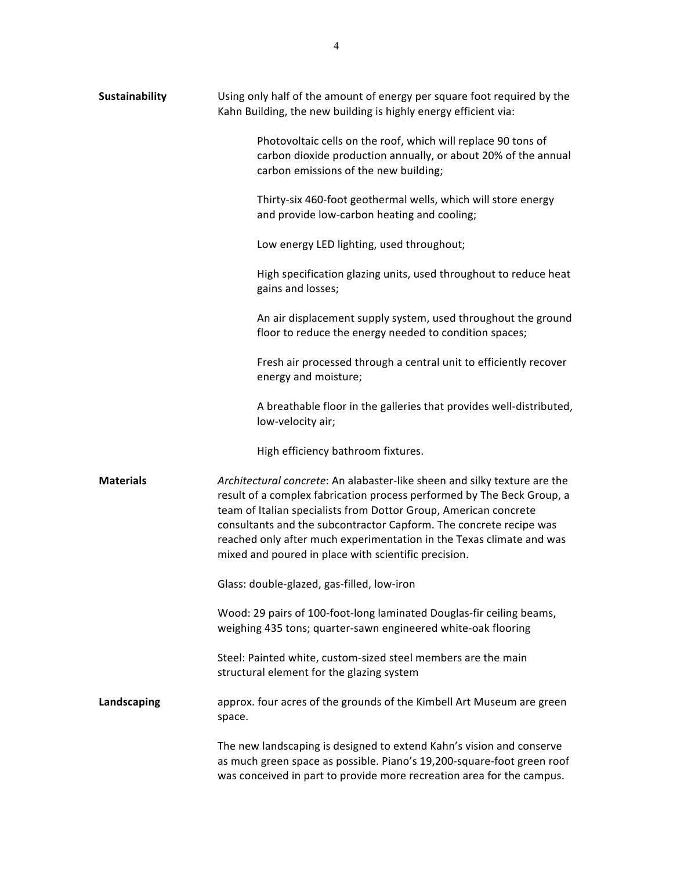| Sustainability   | Using only half of the amount of energy per square foot required by the<br>Kahn Building, the new building is highly energy efficient via:                                                                                                                                                                                                                                                                                    |
|------------------|-------------------------------------------------------------------------------------------------------------------------------------------------------------------------------------------------------------------------------------------------------------------------------------------------------------------------------------------------------------------------------------------------------------------------------|
|                  | Photovoltaic cells on the roof, which will replace 90 tons of<br>carbon dioxide production annually, or about 20% of the annual<br>carbon emissions of the new building;                                                                                                                                                                                                                                                      |
|                  | Thirty-six 460-foot geothermal wells, which will store energy<br>and provide low-carbon heating and cooling;                                                                                                                                                                                                                                                                                                                  |
|                  | Low energy LED lighting, used throughout;                                                                                                                                                                                                                                                                                                                                                                                     |
|                  | High specification glazing units, used throughout to reduce heat<br>gains and losses;                                                                                                                                                                                                                                                                                                                                         |
|                  | An air displacement supply system, used throughout the ground<br>floor to reduce the energy needed to condition spaces;                                                                                                                                                                                                                                                                                                       |
|                  | Fresh air processed through a central unit to efficiently recover<br>energy and moisture;                                                                                                                                                                                                                                                                                                                                     |
|                  | A breathable floor in the galleries that provides well-distributed,<br>low-velocity air;                                                                                                                                                                                                                                                                                                                                      |
|                  | High efficiency bathroom fixtures.                                                                                                                                                                                                                                                                                                                                                                                            |
| <b>Materials</b> | Architectural concrete: An alabaster-like sheen and silky texture are the<br>result of a complex fabrication process performed by The Beck Group, a<br>team of Italian specialists from Dottor Group, American concrete<br>consultants and the subcontractor Capform. The concrete recipe was<br>reached only after much experimentation in the Texas climate and was<br>mixed and poured in place with scientific precision. |
|                  | Glass: double-glazed, gas-filled, low-iron                                                                                                                                                                                                                                                                                                                                                                                    |
|                  | Wood: 29 pairs of 100-foot-long laminated Douglas-fir ceiling beams,<br>weighing 435 tons; quarter-sawn engineered white-oak flooring                                                                                                                                                                                                                                                                                         |
|                  | Steel: Painted white, custom-sized steel members are the main<br>structural element for the glazing system                                                                                                                                                                                                                                                                                                                    |
| Landscaping      | approx. four acres of the grounds of the Kimbell Art Museum are green<br>space.                                                                                                                                                                                                                                                                                                                                               |
|                  | The new landscaping is designed to extend Kahn's vision and conserve<br>as much green space as possible. Piano's 19,200-square-foot green roof<br>was conceived in part to provide more recreation area for the campus.                                                                                                                                                                                                       |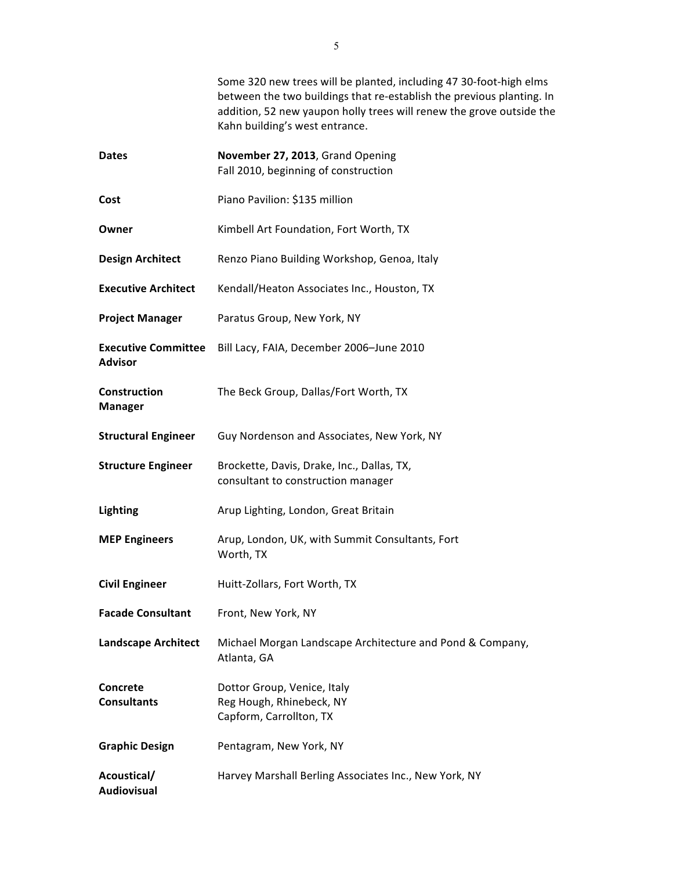|                                              | Some 320 new trees will be planted, including 47 30-foot-high elms<br>between the two buildings that re-establish the previous planting. In<br>addition, 52 new yaupon holly trees will renew the grove outside the<br>Kahn building's west entrance. |
|----------------------------------------------|-------------------------------------------------------------------------------------------------------------------------------------------------------------------------------------------------------------------------------------------------------|
| <b>Dates</b>                                 | November 27, 2013, Grand Opening<br>Fall 2010, beginning of construction                                                                                                                                                                              |
| Cost                                         | Piano Pavilion: \$135 million                                                                                                                                                                                                                         |
| Owner                                        | Kimbell Art Foundation, Fort Worth, TX                                                                                                                                                                                                                |
| <b>Design Architect</b>                      | Renzo Piano Building Workshop, Genoa, Italy                                                                                                                                                                                                           |
| <b>Executive Architect</b>                   | Kendall/Heaton Associates Inc., Houston, TX                                                                                                                                                                                                           |
| <b>Project Manager</b>                       | Paratus Group, New York, NY                                                                                                                                                                                                                           |
| <b>Executive Committee</b><br><b>Advisor</b> | Bill Lacy, FAIA, December 2006-June 2010                                                                                                                                                                                                              |
| Construction<br><b>Manager</b>               | The Beck Group, Dallas/Fort Worth, TX                                                                                                                                                                                                                 |
| <b>Structural Engineer</b>                   | Guy Nordenson and Associates, New York, NY                                                                                                                                                                                                            |
| <b>Structure Engineer</b>                    | Brockette, Davis, Drake, Inc., Dallas, TX,<br>consultant to construction manager                                                                                                                                                                      |
| Lighting                                     | Arup Lighting, London, Great Britain                                                                                                                                                                                                                  |
| <b>MEP Engineers</b>                         | Arup, London, UK, with Summit Consultants, Fort<br>Worth, TX                                                                                                                                                                                          |
| <b>Civil Engineer</b>                        | Huitt-Zollars, Fort Worth, TX                                                                                                                                                                                                                         |
| <b>Facade Consultant</b>                     | Front, New York, NY                                                                                                                                                                                                                                   |
| <b>Landscape Architect</b>                   | Michael Morgan Landscape Architecture and Pond & Company,<br>Atlanta, GA                                                                                                                                                                              |
| <b>Concrete</b><br><b>Consultants</b>        | Dottor Group, Venice, Italy<br>Reg Hough, Rhinebeck, NY<br>Capform, Carrollton, TX                                                                                                                                                                    |
| <b>Graphic Design</b>                        | Pentagram, New York, NY                                                                                                                                                                                                                               |
| Acoustical/<br>Audiovisual                   | Harvey Marshall Berling Associates Inc., New York, NY                                                                                                                                                                                                 |